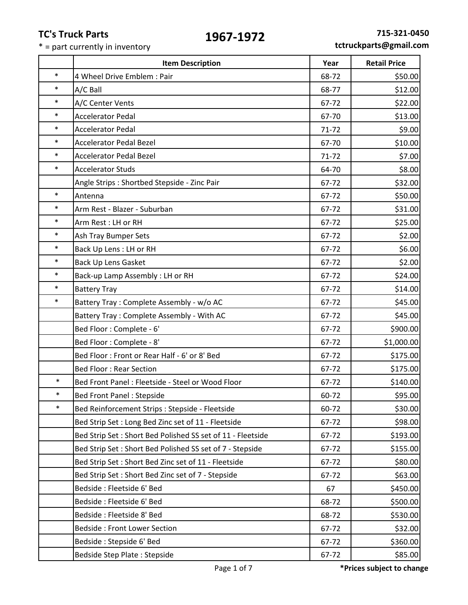|        | <b>Item Description</b>                                    | Year      | <b>Retail Price</b> |
|--------|------------------------------------------------------------|-----------|---------------------|
| $\ast$ | 4 Wheel Drive Emblem: Pair                                 | 68-72     | \$50.00             |
| $\ast$ | A/C Ball                                                   | 68-77     | \$12.00             |
| $\ast$ | A/C Center Vents                                           | 67-72     | \$22.00             |
| $\ast$ | <b>Accelerator Pedal</b>                                   | 67-70     | \$13.00             |
| $\ast$ | <b>Accelerator Pedal</b>                                   | 71-72     | \$9.00              |
| $\ast$ | <b>Accelerator Pedal Bezel</b>                             | 67-70     | \$10.00             |
| $\ast$ | <b>Accelerator Pedal Bezel</b>                             | $71 - 72$ | \$7.00              |
| $\ast$ | <b>Accelerator Studs</b>                                   | 64-70     | \$8.00              |
|        | Angle Strips: Shortbed Stepside - Zinc Pair                | 67-72     | \$32.00             |
| $\ast$ | Antenna                                                    | 67-72     | \$50.00             |
| $\ast$ | Arm Rest - Blazer - Suburban                               | 67-72     | \$31.00             |
| $\ast$ | Arm Rest: LH or RH                                         | 67-72     | \$25.00             |
| $\ast$ | Ash Tray Bumper Sets                                       | 67-72     | \$2.00              |
| $\ast$ | Back Up Lens : LH or RH                                    | 67-72     | \$6.00              |
| $\ast$ | <b>Back Up Lens Gasket</b>                                 | 67-72     | \$2.00              |
| $\ast$ | Back-up Lamp Assembly: LH or RH                            | 67-72     | \$24.00             |
| $\ast$ | <b>Battery Tray</b>                                        | 67-72     | \$14.00             |
| $\ast$ | Battery Tray: Complete Assembly - w/o AC                   | 67-72     | \$45.00             |
|        | Battery Tray: Complete Assembly - With AC                  | 67-72     | \$45.00             |
|        | Bed Floor: Complete - 6'                                   | 67-72     | \$900.00            |
|        | Bed Floor: Complete - 8'                                   | 67-72     | \$1,000.00          |
|        | Bed Floor: Front or Rear Half - 6' or 8' Bed               | 67-72     | \$175.00            |
|        | <b>Bed Floor: Rear Section</b>                             | 67-72     | \$175.00            |
| $\ast$ | Bed Front Panel: Fleetside - Steel or Wood Floor           | 67-72     | \$140.00            |
| $\ast$ | <b>Bed Front Panel: Stepside</b>                           | 60-72     | \$95.00             |
| $\ast$ | Bed Reinforcement Strips : Stepside - Fleetside            | 60-72     | \$30.00             |
|        | Bed Strip Set: Long Bed Zinc set of 11 - Fleetside         | 67-72     | \$98.00             |
|        | Bed Strip Set: Short Bed Polished SS set of 11 - Fleetside | 67-72     | \$193.00            |
|        | Bed Strip Set: Short Bed Polished SS set of 7 - Stepside   | 67-72     | \$155.00            |
|        | Bed Strip Set: Short Bed Zinc set of 11 - Fleetside        | 67-72     | \$80.00             |
|        | Bed Strip Set: Short Bed Zinc set of 7 - Stepside          | 67-72     | \$63.00             |
|        | Bedside: Fleetside 6' Bed                                  | 67        | \$450.00            |
|        | Bedside: Fleetside 6' Bed                                  | 68-72     | \$500.00            |
|        | Bedside: Fleetside 8' Bed                                  | 68-72     | \$530.00            |
|        | <b>Bedside: Front Lower Section</b>                        | 67-72     | \$32.00             |
|        | Bedside: Stepside 6' Bed                                   | 67-72     | \$360.00            |
|        | Bedside Step Plate: Stepside                               | 67-72     | \$85.00             |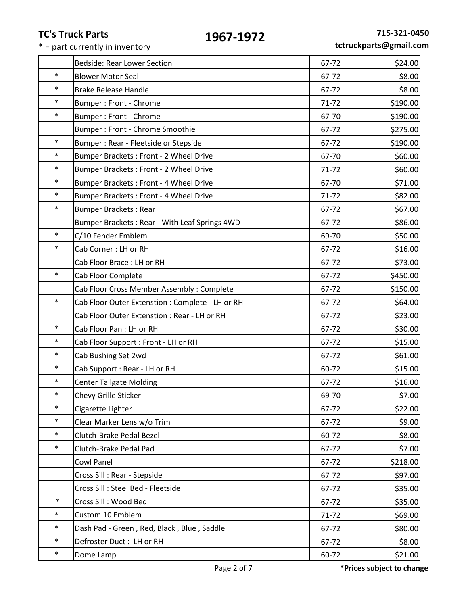|        | <b>Bedside: Rear Lower Section</b>               | 67-72     | \$24.00  |
|--------|--------------------------------------------------|-----------|----------|
| $\ast$ | <b>Blower Motor Seal</b>                         | 67-72     | \$8.00   |
| $\ast$ | <b>Brake Release Handle</b>                      | 67-72     | \$8.00   |
| $\ast$ | Bumper: Front - Chrome                           | $71 - 72$ | \$190.00 |
| $\ast$ | Bumper: Front - Chrome                           | 67-70     | \$190.00 |
|        | Bumper: Front - Chrome Smoothie                  | 67-72     | \$275.00 |
| $\ast$ | Bumper: Rear - Fleetside or Stepside             | 67-72     | \$190.00 |
| $\ast$ | Bumper Brackets: Front - 2 Wheel Drive           | 67-70     | \$60.00  |
| $\ast$ | Bumper Brackets: Front - 2 Wheel Drive           | $71 - 72$ | \$60.00  |
| $\ast$ | Bumper Brackets: Front - 4 Wheel Drive           | 67-70     | \$71.00  |
| $\ast$ | Bumper Brackets: Front - 4 Wheel Drive           | $71 - 72$ | \$82.00  |
| $\ast$ | <b>Bumper Brackets: Rear</b>                     | 67-72     | \$67.00  |
|        | Bumper Brackets: Rear - With Leaf Springs 4WD    | 67-72     | \$86.00  |
| $\ast$ | C/10 Fender Emblem                               | 69-70     | \$50.00  |
| $\ast$ | Cab Corner: LH or RH                             | 67-72     | \$16.00  |
|        | Cab Floor Brace: LH or RH                        | 67-72     | \$73.00  |
| $\ast$ | Cab Floor Complete                               | 67-72     | \$450.00 |
|        | Cab Floor Cross Member Assembly: Complete        | 67-72     | \$150.00 |
| $\ast$ | Cab Floor Outer Extenstion : Complete - LH or RH | 67-72     | \$64.00  |
|        | Cab Floor Outer Extenstion : Rear - LH or RH     | 67-72     | \$23.00  |
| $\ast$ | Cab Floor Pan: LH or RH                          | 67-72     | \$30.00  |
| $\ast$ | Cab Floor Support : Front - LH or RH             | 67-72     | \$15.00  |
| $\ast$ | Cab Bushing Set 2wd                              | 67-72     | \$61.00  |
| $\ast$ | Cab Support : Rear - LH or RH                    | 60-72     | \$15.00  |
| $\ast$ | <b>Center Tailgate Molding</b>                   | 67-72     | \$16.00  |
| $\ast$ | Chevy Grille Sticker                             | 69-70     | \$7.00   |
| $\ast$ | Cigarette Lighter                                | 67-72     | \$22.00  |
| $\ast$ | Clear Marker Lens w/o Trim                       | 67-72     | \$9.00   |
| $\ast$ | Clutch-Brake Pedal Bezel                         | 60-72     | \$8.00   |
| $\ast$ | Clutch-Brake Pedal Pad                           | 67-72     | \$7.00   |
|        | Cowl Panel                                       | 67-72     | \$218.00 |
|        | Cross Sill : Rear - Stepside                     | 67-72     | \$97.00  |
|        | Cross Sill : Steel Bed - Fleetside               | 67-72     | \$35.00  |
| $\ast$ | Cross Sill: Wood Bed                             | 67-72     | \$35.00  |
| $\ast$ | Custom 10 Emblem                                 | $71 - 72$ | \$69.00  |
| $\ast$ | Dash Pad - Green, Red, Black, Blue, Saddle       | 67-72     | \$80.00  |
| $\ast$ | Defroster Duct: LH or RH                         | 67-72     | \$8.00   |
| $\ast$ | Dome Lamp                                        | 60-72     | \$21.00  |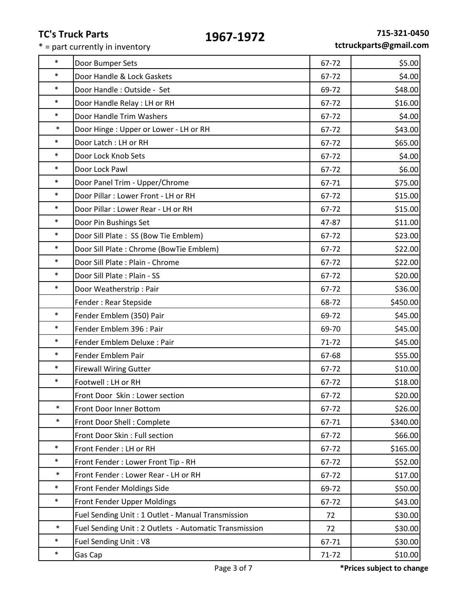| $\ast$ | Door Bumper Sets                                      | 67-72     | \$5.00   |
|--------|-------------------------------------------------------|-----------|----------|
| $\ast$ | Door Handle & Lock Gaskets                            | 67-72     | \$4.00   |
| $\ast$ | Door Handle: Outside - Set                            | 69-72     | \$48.00  |
| $\ast$ | Door Handle Relay : LH or RH                          | 67-72     | \$16.00  |
| $\ast$ | Door Handle Trim Washers                              | 67-72     | \$4.00   |
| $\ast$ | Door Hinge: Upper or Lower - LH or RH                 | 67-72     | \$43.00  |
| $\ast$ | Door Latch : LH or RH                                 | 67-72     | \$65.00  |
| $\ast$ | Door Lock Knob Sets                                   | 67-72     | \$4.00   |
| $\ast$ | Door Lock Pawl                                        | 67-72     | \$6.00   |
| $\ast$ | Door Panel Trim - Upper/Chrome                        | 67-71     | \$75.00  |
| $\ast$ | Door Pillar : Lower Front - LH or RH                  | 67-72     | \$15.00  |
| $\ast$ | Door Pillar : Lower Rear - LH or RH                   | 67-72     | \$15.00  |
| $\ast$ | Door Pin Bushings Set                                 | 47-87     | \$11.00  |
| $\ast$ | Door Sill Plate: SS (Bow Tie Emblem)                  | 67-72     | \$23.00  |
| $\ast$ | Door Sill Plate: Chrome (BowTie Emblem)               | 67-72     | \$22.00  |
| $\ast$ | Door Sill Plate: Plain - Chrome                       | 67-72     | \$22.00  |
| $\ast$ | Door Sill Plate: Plain - SS                           | 67-72     | \$20.00  |
| $\ast$ | Door Weatherstrip: Pair                               | 67-72     | \$36.00  |
|        | Fender: Rear Stepside                                 | 68-72     | \$450.00 |
| $\ast$ | Fender Emblem (350) Pair                              | 69-72     | \$45.00  |
| $\ast$ | Fender Emblem 396 : Pair                              | 69-70     | \$45.00  |
| $\ast$ | Fender Emblem Deluxe : Pair                           | $71 - 72$ | \$45.00  |
| $\ast$ | Fender Emblem Pair                                    | 67-68     | \$55.00  |
| $\ast$ | <b>Firewall Wiring Gutter</b>                         | 67-72     | \$10.00  |
| $\ast$ | Footwell: LH or RH                                    | 67-72     | \$18.00  |
|        | Front Door Skin: Lower section                        | 67-72     | \$20.00  |
| $\ast$ | Front Door Inner Bottom                               | 67-72     | \$26.00  |
| $\ast$ | Front Door Shell: Complete                            | 67-71     | \$340.00 |
|        | Front Door Skin: Full section                         | 67-72     | \$66.00  |
| $\ast$ | Front Fender: LH or RH                                | 67-72     | \$165.00 |
| $\ast$ | Front Fender: Lower Front Tip - RH                    | 67-72     | \$52.00  |
| $\ast$ | Front Fender: Lower Rear - LH or RH                   | 67-72     | \$17.00  |
| $\ast$ | Front Fender Moldings Side                            | 69-72     | \$50.00  |
| $\ast$ | Front Fender Upper Moldings                           | 67-72     | \$43.00  |
|        | Fuel Sending Unit: 1 Outlet - Manual Transmission     | 72        | \$30.00  |
| $\ast$ | Fuel Sending Unit: 2 Outlets - Automatic Transmission | 72        | \$30.00  |
| $\ast$ | Fuel Sending Unit: V8                                 | 67-71     | \$30.00  |
| $\ast$ | Gas Cap                                               | 71-72     | \$10.00  |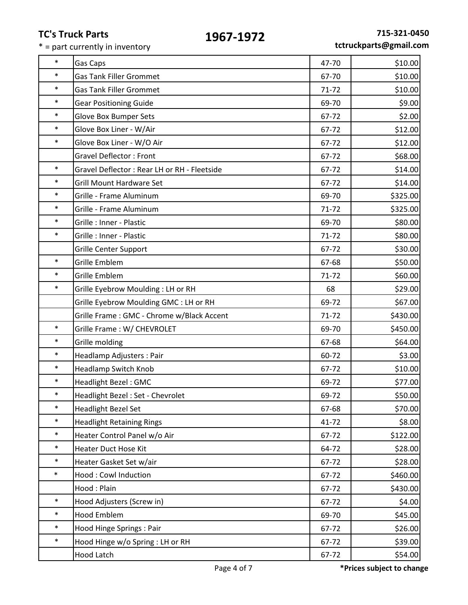$* =$  part currently in inventory

|        | s Truck Parts<br>1967-1972<br>part currently in inventory |           | 715-321-0450<br>tctruckparts@gmail.com |
|--------|-----------------------------------------------------------|-----------|----------------------------------------|
| $\ast$ | <b>Gas Caps</b>                                           | 47-70     | \$10.00                                |
| $\ast$ | <b>Gas Tank Filler Grommet</b>                            | 67-70     | \$10.00                                |
| $\ast$ | <b>Gas Tank Filler Grommet</b>                            | $71 - 72$ | \$10.00                                |
| $\ast$ | <b>Gear Positioning Guide</b>                             | 69-70     | \$9.00                                 |
| $\ast$ | <b>Glove Box Bumper Sets</b>                              | 67-72     | \$2.00                                 |
| $\ast$ | Glove Box Liner - W/Air                                   | 67-72     | \$12.00                                |
| $\ast$ | Glove Box Liner - W/O Air                                 | 67-72     | \$12.00                                |
|        | <b>Gravel Deflector: Front</b>                            | 67-72     | \$68.00                                |
| $\ast$ | Gravel Deflector: Rear LH or RH - Fleetside               | 67-72     | \$14.00                                |
| $\ast$ | <b>Grill Mount Hardware Set</b>                           | 67-72     | \$14.00                                |
| $\ast$ | Grille - Frame Aluminum                                   | 69-70     | \$325.00                               |
| $\ast$ | Grille - Frame Aluminum                                   | $71 - 72$ | \$325.00                               |
| $\ast$ | Grille : Inner - Plastic                                  | 69-70     | \$80.00                                |
| $\ast$ | Grille : Inner - Plastic                                  | $71 - 72$ | \$80.00                                |
|        | <b>Grille Center Support</b>                              | 67-72     | \$30.00                                |
| $\ast$ | <b>Grille Emblem</b>                                      | 67-68     | \$50.00                                |
| $\ast$ | <b>Grille Emblem</b>                                      | $71 - 72$ | \$60.00                                |
| $\ast$ | Grille Eyebrow Moulding: LH or RH                         | 68        | \$29.00                                |
|        | Grille Eyebrow Moulding GMC : LH or RH                    | 69-72     | \$67.00                                |
|        | Grille Frame: GMC - Chrome w/Black Accent                 | $71 - 72$ | \$430.00                               |
| $\ast$ | Grille Frame: W/ CHEVROLET                                | 69-70     | \$450.00                               |
| $\ast$ | Grille molding                                            | 67-68     | \$64.00                                |
| $\ast$ | Headlamp Adjusters: Pair                                  | 60-72     | \$3.00                                 |
| $\ast$ | <b>Headlamp Switch Knob</b>                               | 67-72     | \$10.00                                |
| $\ast$ | <b>Headlight Bezel: GMC</b>                               | 69-72     | \$77.00                                |
| $\ast$ | Headlight Bezel: Set - Chevrolet                          | 69-72     | \$50.00                                |

|        | Page 4 of 7                               |           | *Prices subject to change |
|--------|-------------------------------------------|-----------|---------------------------|
|        | <b>Hood Latch</b>                         | 67-72     | \$54.00                   |
| $\ast$ | Hood Hinge w/o Spring : LH or RH          | 67-72     | \$39.00                   |
| $\ast$ | Hood Hinge Springs : Pair                 | 67-72     | \$26.00                   |
| $\ast$ | <b>Hood Emblem</b>                        | 69-70     | \$45.00                   |
| $\ast$ | Hood Adjusters (Screw in)                 | 67-72     | \$4.00                    |
|        | Hood: Plain                               | 67-72     | \$430.00                  |
| $\ast$ | Hood: Cowl Induction                      | 67-72     | \$460.00                  |
| $\ast$ | Heater Gasket Set w/air                   | 67-72     | \$28.00                   |
| $\ast$ | <b>Heater Duct Hose Kit</b>               | 64-72     | \$28.00                   |
| $\ast$ | Heater Control Panel w/o Air              | 67-72     | \$122.00                  |
| $\ast$ | <b>Headlight Retaining Rings</b>          | $41 - 72$ | \$8.00                    |
| $\ast$ | <b>Headlight Bezel Set</b>                | 67-68     | \$70.00                   |
| $\ast$ | Headlight Bezel: Set - Chevrolet          | 69-72     | \$50.00                   |
| $\ast$ | Headlight Bezel: GMC                      | 69-72     | \$77.00                   |
| $\ast$ | Headlamp Switch Knob                      | 67-72     | \$10.00                   |
| $\ast$ | Headlamp Adjusters: Pair                  | 60-72     | \$3.00                    |
| $\ast$ | Grille molding                            | 67-68     | \$64.00                   |
| $\ast$ | Grille Frame: W/ CHEVROLET                | 69-70     | \$450.00                  |
|        | Grille Frame: GMC - Chrome w/Black Accent | $71 - 72$ | \$430.00                  |
|        | Grille Eyebrow Moulding GMC : LH or RH    | 69-72     | \$67.00                   |
| $\ast$ | Grille Eyebrow Moulding: LH or RH         | 68        | \$29.00                   |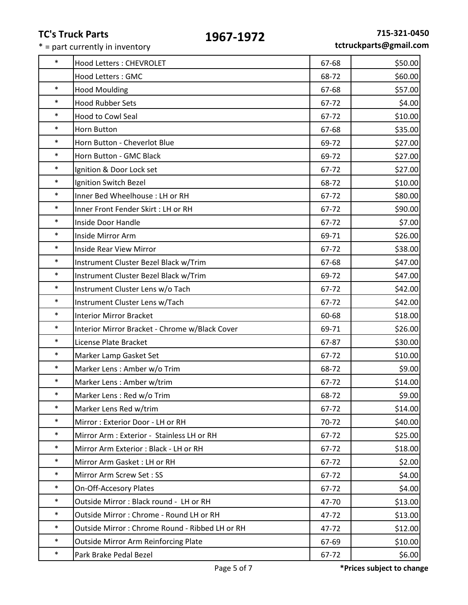|        | 1JU <i>i</i> -1J <i>i</i> 4<br>* = part currently in inventory |       | tctruckparts@gmail.co |
|--------|----------------------------------------------------------------|-------|-----------------------|
| $\ast$ | <b>Hood Letters: CHEVROLET</b>                                 | 67-68 | \$50.00               |
|        | Hood Letters: GMC                                              | 68-72 | \$60.00               |
| $\ast$ | <b>Hood Moulding</b>                                           | 67-68 | \$57.00               |
| $\ast$ | <b>Hood Rubber Sets</b>                                        | 67-72 | \$4.00                |
| $\ast$ | <b>Hood to Cowl Seal</b>                                       | 67-72 | \$10.00               |
| $\ast$ | Horn Button                                                    | 67-68 | \$35.00               |
| $\ast$ | Horn Button - Cheverlot Blue                                   | 69-72 | \$27.00               |
| $\ast$ | Horn Button - GMC Black                                        | 69-72 | \$27.00               |
| $\ast$ | Ignition & Door Lock set                                       | 67-72 | \$27.00               |
| $\ast$ | Ignition Switch Bezel                                          | 68-72 | \$10.00               |
| $\ast$ | Inner Bed Wheelhouse : LH or RH                                | 67-72 | \$80.00               |
| $\ast$ | Inner Front Fender Skirt : LH or RH                            | 67-72 | \$90.00               |
| $\ast$ | Inside Door Handle                                             | 67-72 | \$7.00                |
| $\ast$ | Inside Mirror Arm                                              | 69-71 | \$26.00               |
| $\ast$ | Inside Rear View Mirror                                        | 67-72 | \$38.00               |
| $\ast$ | Instrument Cluster Bezel Black w/Trim                          | 67-68 | \$47.00               |
| $\ast$ | Instrument Cluster Bezel Black w/Trim                          | 69-72 | \$47.00               |
| $\ast$ | Instrument Cluster Lens w/o Tach                               | 67-72 | \$42.00               |
| $\ast$ | Instrument Cluster Lens w/Tach                                 | 67-72 | \$42.00               |
| $\ast$ | <b>Interior Mirror Bracket</b>                                 | 60-68 | \$18.00               |
| $\ast$ | Interior Mirror Bracket - Chrome w/Black Cover                 | 69-71 | \$26.00               |
| $\ast$ | License Plate Bracket                                          | 67-87 | \$30.00               |
| $\ast$ | Marker Lamp Gasket Set                                         | 67-72 | \$10.00               |
| $\ast$ | Marker Lens: Amber w/o Trim                                    | 68-72 | \$9.00                |
| $\ast$ | Marker Lens: Amber w/trim                                      | 67-72 | \$14.00               |
| $\ast$ | Marker Lens: Red w/o Trim                                      | 68-72 | \$9.00                |
| $\ast$ | Marker Lens Red w/trim                                         | 67-72 | \$14.00               |
| $\ast$ | Mirror: Exterior Door - LH or RH                               | 70-72 | \$40.00               |
| $\ast$ | Mirror Arm : Exterior - Stainless LH or RH                     | 67-72 | \$25.00               |
| $\ast$ | Mirror Arm Exterior : Black - LH or RH                         | 67-72 | \$18.00               |
| $\ast$ | Mirror Arm Gasket: LH or RH                                    | 67-72 | \$2.00                |
| $\ast$ | Mirror Arm Screw Set: SS                                       | 67-72 | \$4.00                |
| $\ast$ | <b>On-Off-Accesory Plates</b>                                  | 67-72 | \$4.00                |
| $\ast$ | Outside Mirror: Black round - LH or RH                         | 47-70 | \$13.00               |
| $\ast$ | Outside Mirror: Chrome - Round LH or RH                        | 47-72 | \$13.00               |
| $\ast$ | Outside Mirror: Chrome Round - Ribbed LH or RH                 | 47-72 | \$12.00               |
| $\ast$ | <b>Outside Mirror Arm Reinforcing Plate</b>                    | 67-69 | \$10.00               |
| $\ast$ | Park Brake Pedal Bezel                                         | 67-72 | \$6.00                |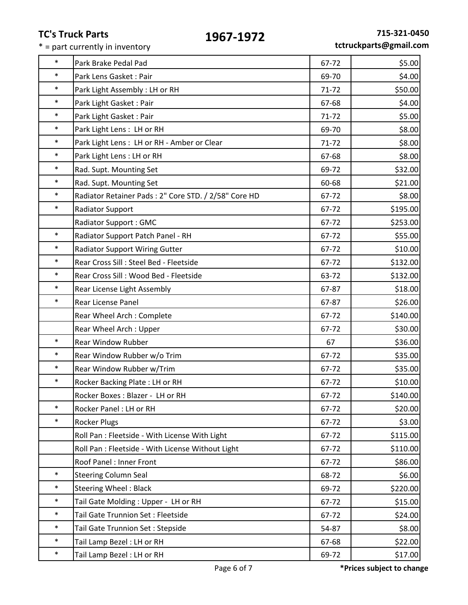|        | エフひノーエフノム<br>* = part currently in inventory         |           | tctruckparts@gmail.co |
|--------|------------------------------------------------------|-----------|-----------------------|
| $\ast$ | Park Brake Pedal Pad                                 | 67-72     | \$5.00                |
| $\ast$ | Park Lens Gasket: Pair                               | 69-70     | \$4.00                |
| $\ast$ | Park Light Assembly: LH or RH                        | $71 - 72$ | \$50.00               |
| $\ast$ | Park Light Gasket: Pair                              | 67-68     | \$4.00                |
| $\ast$ | Park Light Gasket: Pair                              | 71-72     | \$5.00                |
| $\ast$ | Park Light Lens: LH or RH                            | 69-70     | \$8.00                |
| $\ast$ | Park Light Lens: LH or RH - Amber or Clear           | $71 - 72$ | \$8.00                |
| $\ast$ | Park Light Lens : LH or RH                           | 67-68     | \$8.00                |
| $\ast$ | Rad. Supt. Mounting Set                              | 69-72     | \$32.00               |
| $\ast$ | Rad. Supt. Mounting Set                              | 60-68     | \$21.00               |
| $\ast$ | Radiator Retainer Pads: 2" Core STD. / 2/58" Core HD | 67-72     | \$8.00                |
| $\ast$ | <b>Radiator Support</b>                              | 67-72     | \$195.00              |
|        | <b>Radiator Support: GMC</b>                         | 67-72     | \$253.00              |
| $\ast$ | Radiator Support Patch Panel - RH                    | 67-72     | \$55.00               |
| $\ast$ | <b>Radiator Support Wiring Gutter</b>                | 67-72     | \$10.00               |
| $\ast$ | Rear Cross Sill : Steel Bed - Fleetside              | 67-72     | \$132.00              |
| $\ast$ | Rear Cross Sill : Wood Bed - Fleetside               | 63-72     | \$132.00              |
| $\ast$ | Rear License Light Assembly                          | 67-87     | \$18.00               |
| $\ast$ | Rear License Panel                                   | 67-87     | \$26.00               |
|        | Rear Wheel Arch: Complete                            | 67-72     | \$140.00              |
|        | Rear Wheel Arch: Upper                               | 67-72     | \$30.00               |
| $\ast$ | Rear Window Rubber                                   | 67        | \$36.00               |
| $\ast$ | Rear Window Rubber w/o Trim                          | 67-72     | \$35.00               |
| $\ast$ | Rear Window Rubber w/Trim                            | 67-72     | \$35.00               |
|        | Rocker Backing Plate : LH or RH                      | 67-72     | \$10.00               |
|        | Rocker Boxes: Blazer - LH or RH                      | 67-72     | \$140.00              |
| $\ast$ | Rocker Panel: LH or RH                               | 67-72     | \$20.00               |
| $\ast$ | <b>Rocker Plugs</b>                                  | 67-72     | \$3.00                |
|        | Roll Pan : Fleetside - With License With Light       | 67-72     | \$115.00              |
|        | Roll Pan : Fleetside - With License Without Light    | 67-72     | \$110.00              |
|        | Roof Panel: Inner Front                              | 67-72     | \$86.00               |
| $\ast$ | <b>Steering Column Seal</b>                          | 68-72     | \$6.00                |
| $\ast$ | <b>Steering Wheel: Black</b>                         | 69-72     | \$220.00              |
| $\ast$ | Tail Gate Molding: Upper - LH or RH                  | 67-72     | \$15.00               |
| $\ast$ | Tail Gate Trunnion Set : Fleetside                   | 67-72     | \$24.00               |
| $\ast$ | Tail Gate Trunnion Set: Stepside                     | 54-87     | \$8.00                |
| $\ast$ | Tail Lamp Bezel: LH or RH                            | 67-68     | \$22.00               |
| $\ast$ | Tail Lamp Bezel: LH or RH                            | 69-72     | \$17.00               |